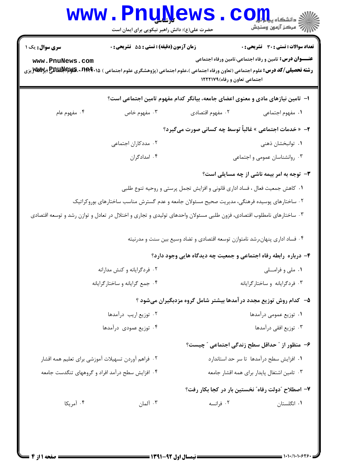|                                                                              | <b>www.PnuNews</b><br>حضرت علی(ع): دانش راهبر نیکویی برای ایمان است                                                                                                                       |                                                                              | الا دانشڪاه پي <mark>ا پارل</mark><br>الله عرکز آزمون وسنڊش                                                   |  |  |
|------------------------------------------------------------------------------|-------------------------------------------------------------------------------------------------------------------------------------------------------------------------------------------|------------------------------------------------------------------------------|---------------------------------------------------------------------------------------------------------------|--|--|
| <b>سری سوال :</b> یک ۱<br>www.PnuNews.com                                    | زمان آزمون (دقیقه) : تستی : 55 آتشریحی : 0<br><b>رشته تحصیلی/کد درس:</b> علوم اجتماعی (تعاون ورفاه اجتماعی )،علوم اجتماعی (پژوهشگری علوم اجتماعی ) <b>۱۵۰*۲۹۴۰ قلیلهالللللج پرWWT</b> بزی | اجتماعی تعاون و رفاه) ١٢٢٢١٧٩                                                | <b>تعداد سوالات : تستی : 30 ٪ تشریحی : 0</b><br><b>عنـــوان درس:</b> تامین و رفاه اجتماعی،تامین ورفاه اجتماعی |  |  |
|                                                                              | ا–  تامین نیازهای مادی و معنوی اعضای جامعه، بیانگر کدام مفهوم تامین اجتماعی است؟                                                                                                          |                                                                              |                                                                                                               |  |  |
| ۰۴ مفهوم عام                                                                 | ه مفهوم خاص $\cdot$ ۳                                                                                                                                                                     | ٠٢ مفهوم اقتصادي                                                             | ٠١. مفهوم اجتماعي                                                                                             |  |  |
| <b>۲-</b> « خدمات اجتماعی » غالباً توسط چه کسانی صورت میگیرد؟                |                                                                                                                                                                                           |                                                                              |                                                                                                               |  |  |
|                                                                              | ۰۲ مددکاران اجتماعی                                                                                                                                                                       |                                                                              | ٠١ توانبخشان ذهني                                                                                             |  |  |
|                                                                              | ۰۴ امدادگران                                                                                                                                                                              |                                                                              | ۰۳ روانشناسان عمومی و اجتماعی                                                                                 |  |  |
|                                                                              |                                                                                                                                                                                           |                                                                              | <b>۳</b> - توجه به امر بیمه ناشی از چه مسایلی است؟                                                            |  |  |
| ۰۱ کاهش جمعیت فعال ، فساد اداری قانونی و افزایش تجمل پرستی و روحیه تنوع طلبی |                                                                                                                                                                                           |                                                                              |                                                                                                               |  |  |
|                                                                              | ۰۲ ساختارهای پوسیده فرهنگی، مدیریت صحیح مسئولان جامعه و عدم گسترش مناسب ساختارهای بوروکراتیک                                                                                              |                                                                              |                                                                                                               |  |  |
|                                                                              | ۰۳ ساختارهای نامطلوب اقتصادی، فزون طلبی مسئولان واحدهای تولیدی و تجاری و اختلال در تعادل و توازن رشد و توسعه اقتصادی                                                                      | ۰۴ فساد اداری پنهان،رشد نامتوازن توسعه اقتصادی و تضاد وسیع بین سنت و مدرنیته |                                                                                                               |  |  |
|                                                                              |                                                                                                                                                                                           |                                                                              |                                                                                                               |  |  |
| ۴- درباره رابطه رفاه اجتماعی و جمعیت چه دیدگاه هایی وجود دارد؟               |                                                                                                                                                                                           |                                                                              | ۰۱ ملی و فراملی                                                                                               |  |  |
|                                                                              | ۰۲ فردگرایانه و کنش مدارانه<br>۰۴ جمع گرایانه و ساختار گرایانه                                                                                                                            |                                                                              | ۰۳ فردگرایانه و ساختارگرایانه                                                                                 |  |  |
|                                                                              |                                                                                                                                                                                           | ۵– کدام روش توزیع مجدد درآمدها بیشتر شامل گروه مزدبگیران میشود ؟             |                                                                                                               |  |  |
|                                                                              | ۰۲ توزیع اریب درآمدها                                                                                                                                                                     |                                                                              | ٠١ توزيع عمومي درآمدها                                                                                        |  |  |
| ۰۴ توزیع عمودی درآمدها                                                       |                                                                                                                                                                                           |                                                                              | ۰۳ توزیع افقی درآمدها                                                                                         |  |  |
|                                                                              |                                                                                                                                                                                           |                                                                              | ۶- منظور از " حداقل سطح زندگی اجتماعی " چیست؟                                                                 |  |  |
|                                                                              | ۰۲ فراهم آوردن تسهيلات آموزشي براي تعليم همه اقشار                                                                                                                                        |                                                                              | ٠١ افزايش سطح درآمدها تا سر حد استاندارد                                                                      |  |  |
| ۰۴ افزایش سطح درآمد افراد و گروههای تنگدست جامعه                             |                                                                                                                                                                                           |                                                                              | ۰۳ تامین اشتغال پایدار برای همه اقشار جامعه                                                                   |  |  |
|                                                                              |                                                                                                                                                                                           |                                                                              | ٧– اصطلاح "دولت رفاه" نخستين بار در كجا بكار رفت؟                                                             |  |  |
| ۰۴ آمریکا                                                                    | ۰۳ آلمان                                                                                                                                                                                  | ۰۲ فرانسه                                                                    | ۰۱ انگلستان                                                                                                   |  |  |
|                                                                              |                                                                                                                                                                                           |                                                                              |                                                                                                               |  |  |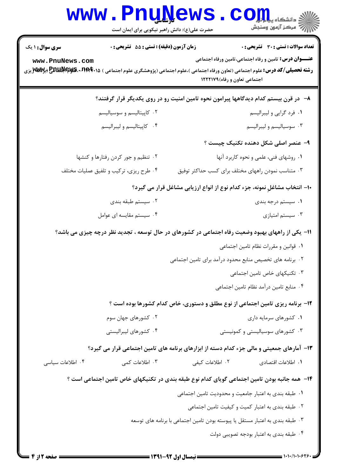| زمان آزمون (دقیقه) : تستی : 55 آتشریحی : 0<br>سری سوال: ۱ یک                                      | تعداد سوالات : تستي : 30 ٪ تشريحي : 0                                                                                                                                                                                                        |  |  |  |
|---------------------------------------------------------------------------------------------------|----------------------------------------------------------------------------------------------------------------------------------------------------------------------------------------------------------------------------------------------|--|--|--|
| www.PnuNews.com                                                                                   | <b>عنـــوان درس:</b> تامین و رفاه اجتماعی،تامین ورفاه اجتماعی<br><b>رشته تحصیلی/کد درس:</b> علوم اجتماعی (تعاون ورفاه اجتماعی )،علوم اجتماعی (پژوهشگری علوم اجتماعی ) <b>۱۵۰۹۴۰۹-RES پر RARK و MARK</b> بزی<br>اجتماعی تعاون و رفاه) ۱۲۲۲۱۷۹ |  |  |  |
| ۸– در قرن بیستم کدام دیدگاهها پیرامون نحوه تامین امنیت رو در روی یکدیگر قرار گرفتند؟              |                                                                                                                                                                                                                                              |  |  |  |
| ۰۲ کاپیتالیسم و سوسیالیسم                                                                         | ۰۱ فرد گرایی و لیبرالیسم                                                                                                                                                                                                                     |  |  |  |
| ۰۴ کاپیتالیسم و لیبرالیسم                                                                         | ۰۳ سوسیالیسم و لیبرالیسم                                                                                                                                                                                                                     |  |  |  |
|                                                                                                   | ۹- عنصر اصلی شکل دهنده تکنیک چیست ؟                                                                                                                                                                                                          |  |  |  |
| ۰۲ تنظیم و جور کردن رفتارها و کنشها                                                               | ۰۱ روشهای فنی، علمی و نحوه کاربرد آنها                                                                                                                                                                                                       |  |  |  |
| ۰۴ طرح ریزی، ترکیب و تلفیق عملیات مختلف                                                           | ۰۳ متناسب نمودن راههای مختلف برای کسب حداکثر توفیق                                                                                                                                                                                           |  |  |  |
| ∙ا– انتخاب مشاغلِ نمونه، جزء کدام نوع از انواع ارزیابی مشاغل قرار می گیرد؟                        |                                                                                                                                                                                                                                              |  |  |  |
| ۰۲ سیستم طبقه بندی                                                                                | ۰۱ سیستم درجه بندی                                                                                                                                                                                                                           |  |  |  |
| ۰۴ سیستم مقایسه ای عوامل                                                                          | ۰۳ سیستم امتیازی                                                                                                                                                                                                                             |  |  |  |
| 11- یکی از راههای بهبود وضعیت رفاه اجتماعی در کشورهای در حال توسعه ، تجدید نظر درچه چیزی می باشد؟ |                                                                                                                                                                                                                                              |  |  |  |
|                                                                                                   | ٠١ قوانين و مقررات نظام تامين اجتماعي                                                                                                                                                                                                        |  |  |  |
|                                                                                                   | ۰۲ برنامه های تخصیص منابع محدود درآمد برای تامین اجتماعی                                                                                                                                                                                     |  |  |  |
|                                                                                                   | ۰۳ تکنیکهای خاص تامین اجتماعی                                                                                                                                                                                                                |  |  |  |
|                                                                                                   | ۰۴ منابع تامين درآمد نظام تامين اجتماعي                                                                                                                                                                                                      |  |  |  |
|                                                                                                   | ۱۲- برنامه ریزی تامین اجتماعی از نوع مطلق و دستوری، خاص کدام کشورها بوده است ؟                                                                                                                                                               |  |  |  |
| ۰۲ کشورهای جهان سوم                                                                               | ۰۱ کشورهای سرمایه داری                                                                                                                                                                                                                       |  |  |  |
| ۰۴ کشورهای لیبرالیستی                                                                             | ۰۳ کشورهای سوسیالیستی و کمونیستی                                                                                                                                                                                                             |  |  |  |
|                                                                                                   | ۱۳- آمارهای جمعیتی و مالی جزء کدام دسته از ابزارهای برنامه های تامین اجتماعی قرار می گیرد؟                                                                                                                                                   |  |  |  |
| ۰۴ اطلاعات سياسى<br>۰۳ اطلاعات کمی                                                                | ٢. اطلاعات كيفي<br>٠١. اطلاعات اقتصادى                                                                                                                                                                                                       |  |  |  |
|                                                                                                   | ۱۴– همه جانبه بودن تامین اجتماعی گویای کدام نوع طبقه بندی در تکنیکهای خاص تامین اجتماعی است ؟                                                                                                                                                |  |  |  |
|                                                                                                   | ٠١. طبقه بندى به اعتبار جامعيت و محدوديت تامين اجتماعي                                                                                                                                                                                       |  |  |  |
|                                                                                                   | ۰۲ طبقه بندی به اعتبار کمیت و کیفیت تامین اجتماعی                                                                                                                                                                                            |  |  |  |
|                                                                                                   | ۰۳ طبقه بندی به اعتبار مستقل یا پیوسته بودن تامین اجتماعی با برنامه های توسعه                                                                                                                                                                |  |  |  |
|                                                                                                   | ۰۴ طبقه بندی به اعتبار بودجه تصویبی دولت                                                                                                                                                                                                     |  |  |  |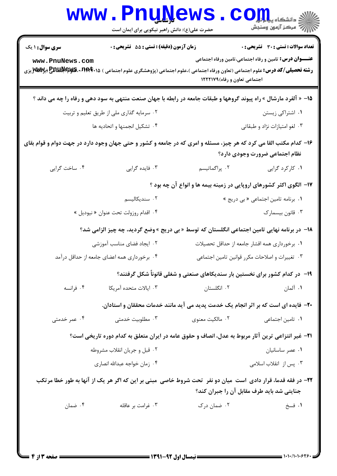|                                                                                                                                                           | www.PnuNews<br>حضرت علی(ع): دانش راهبر نیکویی برای ایمان است                                                                                                                                |                                     | الا دانشڪاه پي <b>اپور COM</b><br>الله دانشڪاه پسنڊش                                                   |  |  |  |
|-----------------------------------------------------------------------------------------------------------------------------------------------------------|---------------------------------------------------------------------------------------------------------------------------------------------------------------------------------------------|-------------------------------------|--------------------------------------------------------------------------------------------------------|--|--|--|
| <b>سری سوال : ۱ یک</b><br>www.PnuNews.com                                                                                                                 | زمان آزمون (دقیقه) : تستی : 55 آتشریحی : 0<br><b>رشته تحصیلی/کد درس:</b> علوم اجتماعی (تعاون ورفاه اجتماعی )،علوم اجتماعی (پژوهشگری علوم اجتماعی ) <b>۱۵۰*۲۹۲۰ قلیلهاللفلیج (برWW</b> Y پزی | اجتماعی تعاون و رفاه)١٢٢٢١٧٩        | تعداد سوالات : تستي : 30 ٪ تشريحي : 0<br><b>عنـــوان درس:</b> تامین و رفاه اجتماعی،تامین ورفاه اجتماعی |  |  |  |
|                                                                                                                                                           | 1۵- « آلفرد مارشال » راه پیوند گروهها و طبقات جامعه در رابطه با جهان صنعت منتهی به سود دهی و رفاه را چه می داند ؟                                                                           |                                     |                                                                                                        |  |  |  |
|                                                                                                                                                           | ۰۱ اشتراکی زیستن<br>۰۲ سرمایه گذاری ملی از طریق تعلیم و تربیت                                                                                                                               |                                     |                                                                                                        |  |  |  |
|                                                                                                                                                           | ۰۴ تشكيل انجمنها و اتحاديه ها                                                                                                                                                               |                                     | ۰۳ لغو امتيازات نژاد و طبقاتي                                                                          |  |  |  |
| ۱۶– کدام مکتب القا می کرد که هر چیز، مسئله و امری که در جامعه و کشور و حتی جهان وجود دارد در جهت دوام و قوام بقای<br>نظام اجتماعي ضرورت وجودي دارد؟       |                                                                                                                                                                                             |                                     |                                                                                                        |  |  |  |
| ۰۴ ساخت گرايي                                                                                                                                             | ۰۳ فایده گرایی                                                                                                                                                                              | ۰۲ پراگماتیسم                       | ۰۱ کارکرد گرایی                                                                                        |  |  |  |
| ۱۷- الگوی اکثر کشورهای اروپایی در زمینه بیمه ها و انواع آن چه بود ؟                                                                                       |                                                                                                                                                                                             |                                     |                                                                                                        |  |  |  |
|                                                                                                                                                           | ۰۲ سندیکالیسم                                                                                                                                                                               | ٠١. برنامه تامين اجتماعي «بي دريج » |                                                                                                        |  |  |  |
|                                                                                                                                                           | ۰۴ اقدام روزولت تحت عنوان « نيوديل »                                                                                                                                                        |                                     | ۰۳ قانون بیسمارک                                                                                       |  |  |  |
|                                                                                                                                                           | ۱۸− در برنامه نهایی تامین اجتماعی انگلستان که توسط « بی دریج » وضع گردید، چه چیز الزامی شد؟                                                                                                 |                                     |                                                                                                        |  |  |  |
|                                                                                                                                                           | ۰۲ ایجاد فضای مناسب آموزشی                                                                                                                                                                  |                                     | ٠١. برخورداري همه اقشار جامعه از حداقل تحصيلات                                                         |  |  |  |
|                                                                                                                                                           | ۰۴ برخورداری همه اعضای جامعه از حداقل درآمد<br>٠٣ تغييرات واصلاحات مكرر قوانين تامين اجتماعي                                                                                                |                                     |                                                                                                        |  |  |  |
|                                                                                                                                                           | ۱۹- در کدام کشور برای نخستین بار سندیکاهای صنعتی و شغلی قانوناً شکل گرفتند؟                                                                                                                 |                                     |                                                                                                        |  |  |  |
| ۰۴ فرانسه                                                                                                                                                 | ۰۳ ایالات متحده آمریکا                                                                                                                                                                      | ۰۲ انگلستان                         | ۰۱ آلمان                                                                                               |  |  |  |
|                                                                                                                                                           | +۲- فایده ای است که بر اثر انجام یک خدمت پدید می آید مانند خدمات محققان و استادان.                                                                                                          |                                     |                                                                                                        |  |  |  |
| ۰۴ عمر خدمتی                                                                                                                                              | ۰۳ مطلوبیت خدمتی                                                                                                                                                                            | ۰۲ مالکیت معنوی                     | ٠١. تامين اجتماعي                                                                                      |  |  |  |
|                                                                                                                                                           | <b>۲۱</b> – غیر انتزاعی ترین آثار مربوط به عدل، انصاف و حقوق عامه در ایران متعلق به کدام دوره تاریخی است؟                                                                                   |                                     |                                                                                                        |  |  |  |
|                                                                                                                                                           | ۰۲ قبل و جریان انقلاب مشروطه                                                                                                                                                                |                                     | ٠١ عصر ساسانيان                                                                                        |  |  |  |
|                                                                                                                                                           | ۰۴ زمان خواجه عبدالله انصارى                                                                                                                                                                |                                     | ۰۳ پس از انقلاب اسلامی                                                                                 |  |  |  |
| ۲۲- در فقه قدما، قرار دادی است میان دو نفر  تحت شروط خاصی  مبنی بر این که اگر هر یک از آنها به طور خطا مرتکب<br>جنایتی شد باید طرف مقابل آن را جبران کند؟ |                                                                                                                                                                                             |                                     |                                                                                                        |  |  |  |
| ۰۴ ضمان                                                                                                                                                   | ۰۳ غرامت بر عاقله                                                                                                                                                                           | ۰۲ ضمان درک                         | ١. فسخ                                                                                                 |  |  |  |
| ==== صفحه ۱۳; ۴ =                                                                                                                                         |                                                                                                                                                                                             |                                     |                                                                                                        |  |  |  |